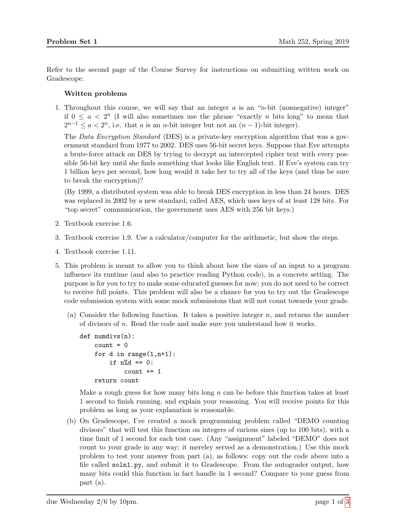Refer to the second page of the Course Survey for instructions on submitting written work on Gradescope.

# Written problems

1. Throughout this course, we will say that an integer  $a$  is an "n-bit (nonnegative) integer" if  $0 \le a < 2^n$  (I will also sometimes use the phrase "exactly *n* bits long" to mean that  $2^{n-1} \leq a < 2^n$ , i.e. that a is an n-bit integer but not an  $(n-1)$ -bit integer).

The Data Encryption Standard (DES) is a private-key encryption algorithm that was a government standard from 1977 to 2002. DES uses 56-bit secret keys. Suppose that Eve attempts a brute-force attack on DES by trying to decrypt an intercepted cipher text with every possible 56-bit key until she finds something that looks like English text. If Eve's system can try 1 billion keys per second, how long would it take her to try all of the keys (and thus be sure to break the encryption)?

(By 1999, a distributed system was able to break DES encryption in less than 24 hours. DES was replaced in 2002 by a new standard, called AES, which uses keys of at least 128 bits. For "top secret" communication, the government uses AES with 256 bit keys.)

- 2. Textbook exercise 1.6.
- 3. Textbook exercise 1.9. Use a calculator/computer for the arithmetic, but show the steps.
- 4. Textbook exercise 1.11.
- 5. This problem is meant to allow you to think about how the sizes of an input to a program influence its runtime (and also to practice reading Python code), in a concrete setting. The purpose is for you to try to make some educated guesses for now; you do not need to be correct to receive full points. This problem will also be a chance for you to try out the Gradescope code submission system with some mock submissions that will not count towards your grade.
	- (a) Consider the following function. It takes a positive integer n, and returns the number of divisors of n. Read the code and make sure you understand how it works.

```
def numdivs(n):
count = 0for d in range(1,n+1):
     if n''_{0}d == 0:
         count += 1
return count
```
Make a rough guess for how many bits long  $n$  can be before this function takes at least 1 second to finish running, and explain your reasoning. You will receive points for this problem as long as your explanation is reasonable.

(b) On Gradescope, I've created a mock programming problem called "DEMO counting divisors" that will test this function on integers of various sizes (up to 100 bits), with a time limit of 1 second for each test case. (Any "assignment" labeled "DEMO" does not count to your grade in any way; it mereley served as a demonstration.) Use this mock problem to test your answer from part (a), as follows: copy out the code above into a file called soln1.py, and submit it to Gradescope. From the autograder output, how many bits could this function in fact handle in 1 second? Compare to your guess from part (a).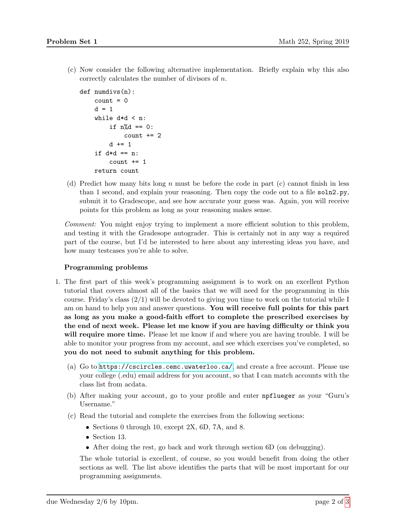(c) Now consider the following alternative implementation. Briefly explain why this also correctly calculates the number of divisors of n.

```
def numdivs(n):
count = 0d = 1while d*d < n:
    if n\%d == 0:
        count += 2d += 1
if d*d == n:
    count += 1
return count
```
(d) Predict how many bits long n must be before the code in part (c) cannot finish in less than 1 second, and explain your reasoning. Then copy the code out to a file soln2.py, submit it to Gradescope, and see how accurate your guess was. Again, you will receive points for this problem as long as your reasoning makes sense.

Comment: You might enjoy trying to implement a more efficient solution to this problem, and testing it with the Gradesope autograder. This is certainly not in any way a required part of the course, but I'd be interested to here about any interesting ideas you have, and how many testcases you're able to solve.

# Programming problems

- 1. The first part of this week's programming assignment is to work on an excellent Python tutorial that covers almost all of the basics that we will need for the programming in this course. Friday's class (2/1) will be devoted to giving you time to work on the tutorial while I am on hand to help you and answer questions. You will receive full points for this part as long as you make a good-faith effort to complete the prescribed exercises by the end of next week. Please let me know if you are having difficulty or think you will require more time. Please let me know if and where you are having trouble. I will be able to monitor your progress from my account, and see which exercises you've completed, so you do not need to submit anything for this problem.
	- (a) Go to <https://cscircles.cemc.uwaterloo.ca/>, and create a free account. Please use your college (.edu) email address for you account, so that I can match accounts with the class list from acdata.
	- (b) After making your account, go to your profile and enter npflueger as your "Guru's Username."
	- (c) Read the tutorial and complete the exercises from the following sections:
		- Sections 0 through 10, except 2X, 6D, 7A, and 8.
		- Section 13.
		- After doing the rest, go back and work through section 6D (on debugging).

The whole tutorial is excellent, of course, so you would benefit from doing the other sections as well. The list above identifies the parts that will be most important for our programming assignments.